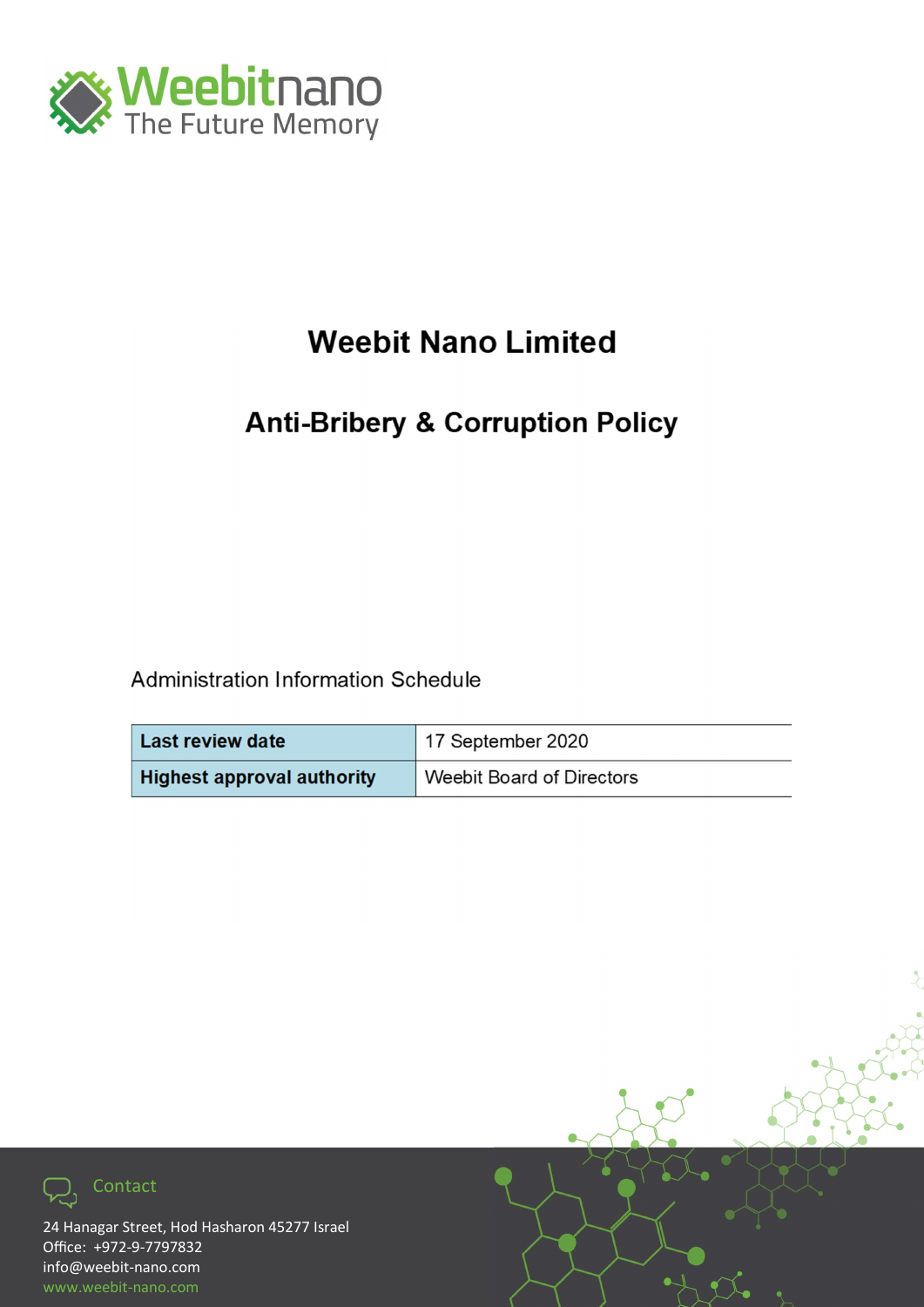

# **Weebit Nano Limited**

## **Anti-Bribery & Corruption Policy**

Administration Information Schedule

| <b>Last review date</b>           | <sup>1</sup> 17 September 2020 |
|-----------------------------------|--------------------------------|
| <b>Highest approval authority</b> | Weebit Board of Directors      |



24 Hanagar Street, Hod Hasharon 45277 Israel info@weebit-nano.com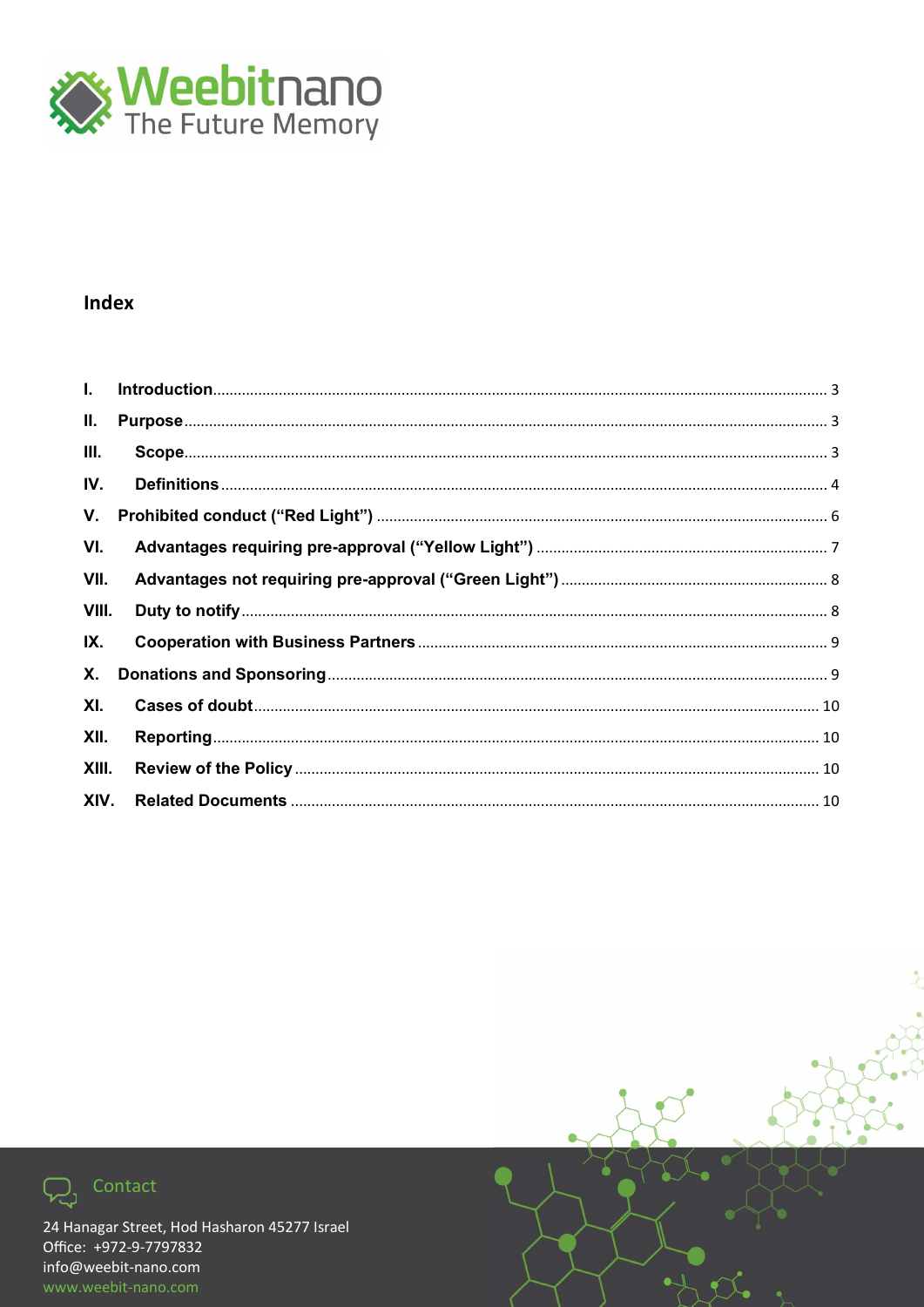

#### **Index**

| II.   |  |
|-------|--|
| Ш.    |  |
| IV.   |  |
| V.    |  |
| VI.   |  |
| VII.  |  |
| VIII. |  |
| IX.   |  |
| Х.    |  |
| XI.   |  |
| XII.  |  |
| XIII. |  |
| XIV.  |  |



Contact

 $\overline{\mathcal{Q}}$ 

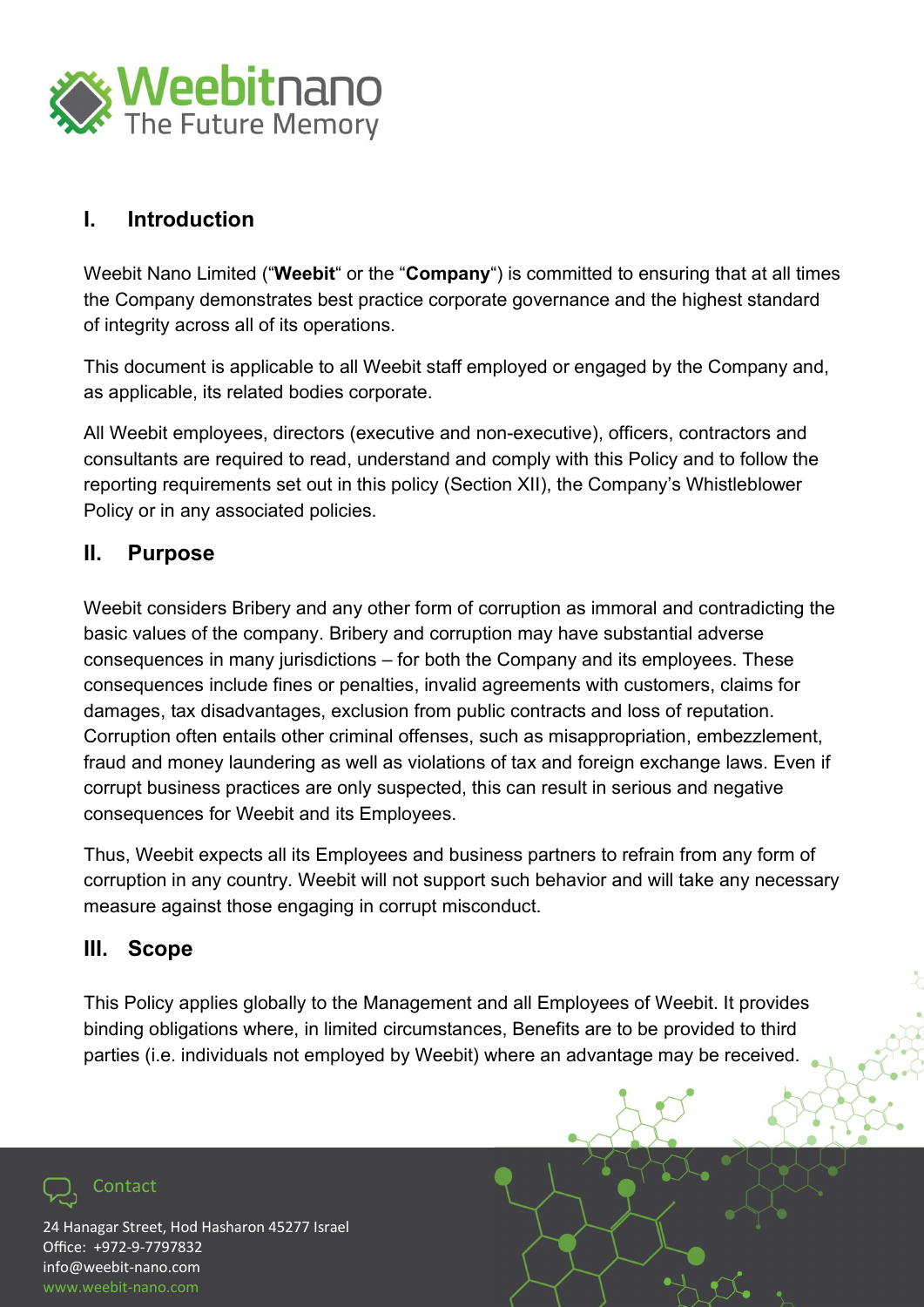

#### I. Introduction

Weebit Nano Limited ("Weebit" or the "Company") is committed to ensuring that at all times the Company demonstrates best practice corporate governance and the highest standard of integrity across all of its operations.

This document is applicable to all Weebit staff employed or engaged by the Company and, as applicable, its related bodies corporate.

All Weebit employees, directors (executive and non-executive), officers, contractors and consultants are required to read, understand and comply with this Policy and to follow the reporting requirements set out in this policy (Section XII), the Company's Whistleblower Policy or in any associated policies.

#### II. Purpose

Weebit considers Bribery and any other form of corruption as immoral and contradicting the basic values of the company. Bribery and corruption may have substantial adverse consequences in many jurisdictions – for both the Company and its employees. These consequences include fines or penalties, invalid agreements with customers, claims for damages, tax disadvantages, exclusion from public contracts and loss of reputation. Corruption often entails other criminal offenses, such as misappropriation, embezzlement, fraud and money laundering as well as violations of tax and foreign exchange laws. Even if corrupt business practices are only suspected, this can result in serious and negative consequences for Weebit and its Employees.

Thus, Weebit expects all its Employees and business partners to refrain from any form of corruption in any country. Weebit will not support such behavior and will take any necessary measure against those engaging in corrupt misconduct.

#### III. Scope

Contact

This Policy applies globally to the Management and all Employees of Weebit. It provides binding obligations where, in limited circumstances, Benefits are to be provided to third parties (i.e. individuals not employed by Weebit) where an advantage may be received.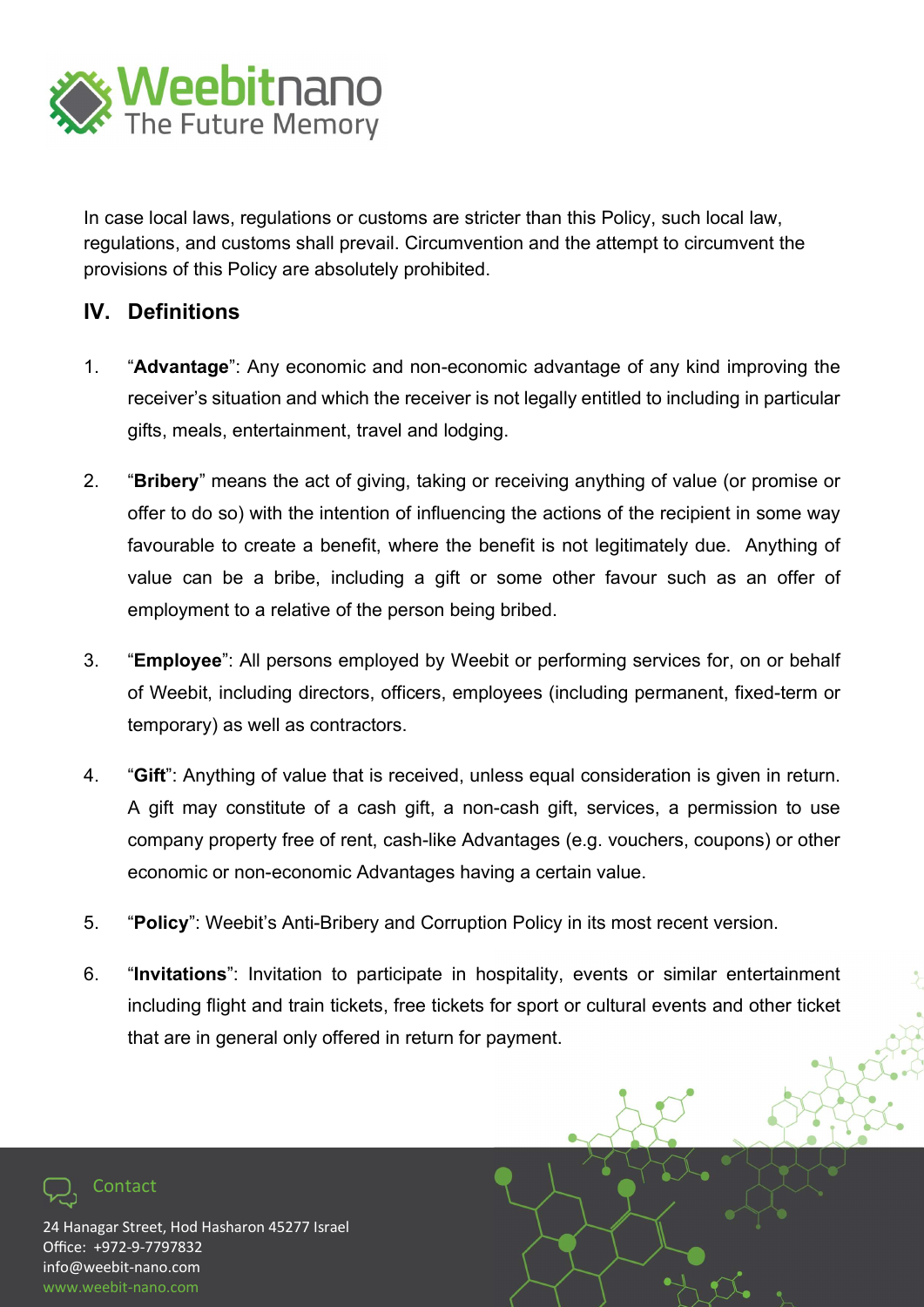

In case local laws, regulations or customs are stricter than this Policy, such local law, regulations, and customs shall prevail. Circumvention and the attempt to circumvent the provisions of this Policy are absolutely prohibited.

#### IV. Definitions

- 1. "Advantage": Any economic and non-economic advantage of any kind improving the receiver's situation and which the receiver is not legally entitled to including in particular gifts, meals, entertainment, travel and lodging.
- 2. "Bribery" means the act of giving, taking or receiving anything of value (or promise or offer to do so) with the intention of influencing the actions of the recipient in some way favourable to create a benefit, where the benefit is not legitimately due. Anything of value can be a bribe, including a gift or some other favour such as an offer of employment to a relative of the person being bribed.
- 3. "Employee": All persons employed by Weebit or performing services for, on or behalf of Weebit, including directors, officers, employees (including permanent, fixed-term or temporary) as well as contractors.
- 4. "Gift": Anything of value that is received, unless equal consideration is given in return. A gift may constitute of a cash gift, a non-cash gift, services, a permission to use company property free of rent, cash-like Advantages (e.g. vouchers, coupons) or other economic or non-economic Advantages having a certain value.
- 5. "Policy": Weebit's Anti-Bribery and Corruption Policy in its most recent version.
- 6. "Invitations": Invitation to participate in hospitality, events or similar entertainment including flight and train tickets, free tickets for sport or cultural events and other ticket that are in general only offered in return for payment.

24 Hanagar Street, Hod Hasharon 45277 Israel Office: +972-9-7797832 info@weebit-nano.com www.weebit-nano.com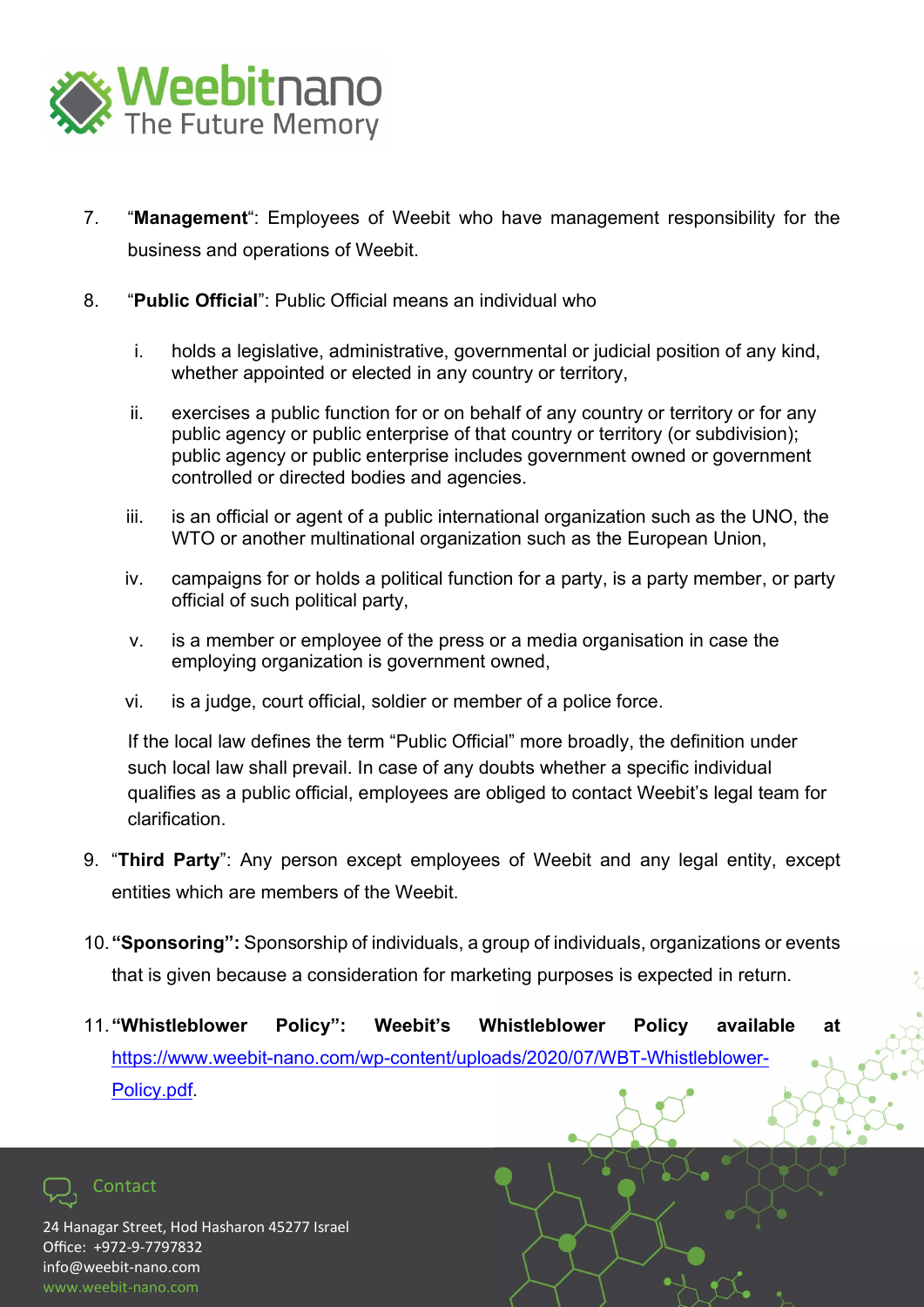

- 7. "Management": Employees of Weebit who have management responsibility for the business and operations of Weebit.
- 8. "Public Official": Public Official means an individual who
	- i. holds a legislative, administrative, governmental or judicial position of any kind, whether appointed or elected in any country or territory,
	- ii. exercises a public function for or on behalf of any country or territory or for any public agency or public enterprise of that country or territory (or subdivision); public agency or public enterprise includes government owned or government controlled or directed bodies and agencies.
	- iii. is an official or agent of a public international organization such as the UNO, the WTO or another multinational organization such as the European Union.
	- iv. campaigns for or holds a political function for a party, is a party member, or party official of such political party,
	- v. is a member or employee of the press or a media organisation in case the employing organization is government owned,
	- vi. is a judge, court official, soldier or member of a police force.

If the local law defines the term "Public Official" more broadly, the definition under such local law shall prevail. In case of any doubts whether a specific individual qualifies as a public official, employees are obliged to contact Weebit's legal team for clarification.

- 9. "Third Party": Any person except employees of Weebit and any legal entity, except entities which are members of the Weebit.
- 10. "Sponsoring": Sponsorship of individuals, a group of individuals, organizations or events that is given because a consideration for marketing purposes is expected in return.
- 11. "Whistleblower Policy": Weebit's Whistleblower Policy available at https://www.weebit-nano.com/wp-content/uploads/2020/07/WBT-Whistleblower-Policy.pdf.

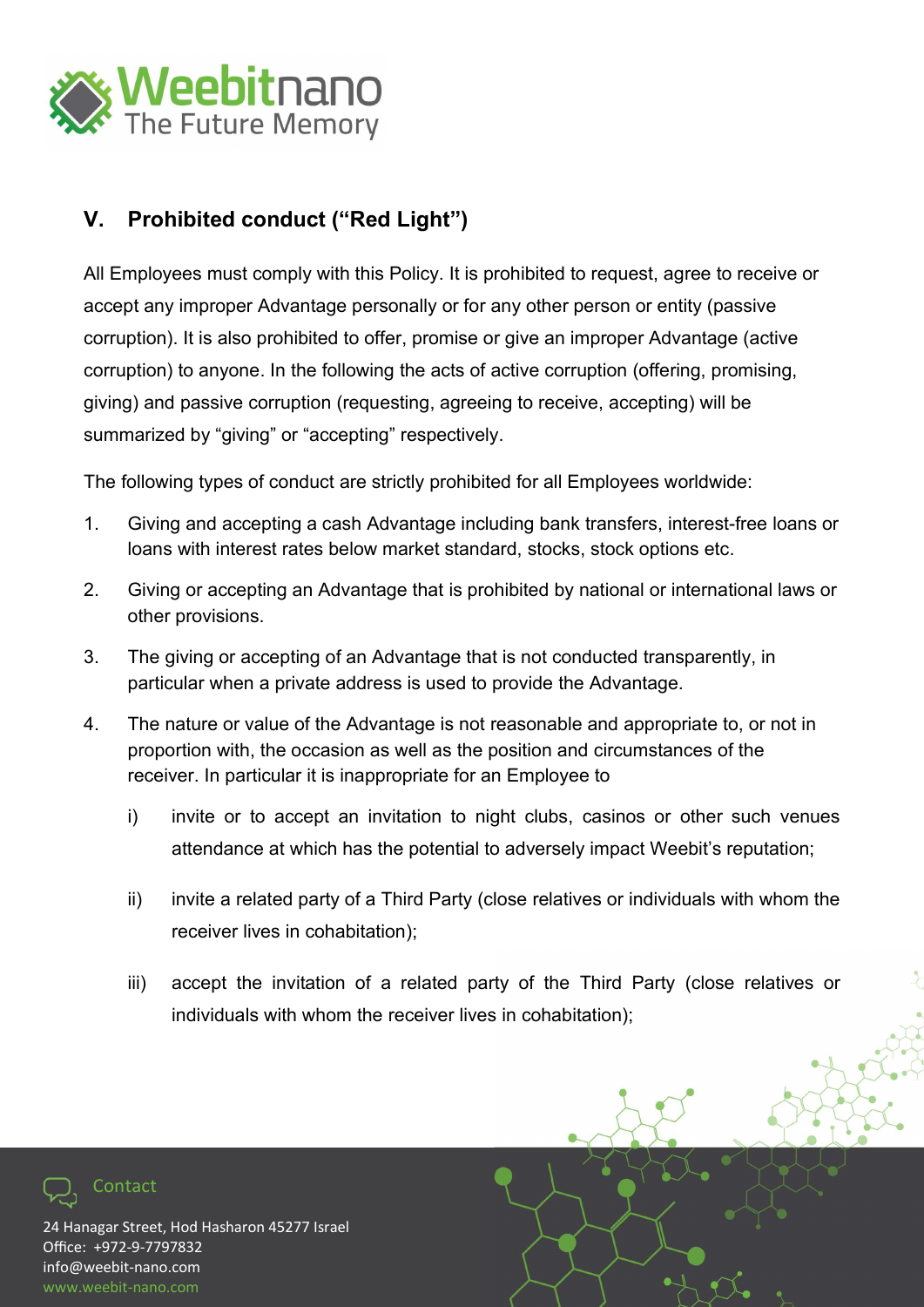

#### V. Prohibited conduct ("Red Light")

All Employees must comply with this Policy. It is prohibited to request, agree to receive or accept any improper Advantage personally or for any other person or entity (passive corruption). It is also prohibited to offer, promise or give an improper Advantage (active corruption) to anyone. In the following the acts of active corruption (offering, promising, giving) and passive corruption (requesting, agreeing to receive, accepting) will be summarized by "giving" or "accepting" respectively.

The following types of conduct are strictly prohibited for all Employees worldwide:

- 1. Giving and accepting a cash Advantage including bank transfers, interest-free loans or loans with interest rates below market standard, stocks, stock options etc.
- 2. Giving or accepting an Advantage that is prohibited by national or international laws or other provisions.
- 3. The giving or accepting of an Advantage that is not conducted transparently, in particular when a private address is used to provide the Advantage.
- 4. The nature or value of the Advantage is not reasonable and appropriate to, or not in proportion with, the occasion as well as the position and circumstances of the receiver. In particular it is inappropriate for an Employee to
	- i) invite or to accept an invitation to night clubs, casinos or other such venues attendance at which has the potential to adversely impact Weebit's reputation;
	- ii) invite a related party of a Third Party (close relatives or individuals with whom the receiver lives in cohabitation);
	- iii) accept the invitation of a related party of the Third Party (close relatives or individuals with whom the receiver lives in cohabitation);

24 Hanagar Street, Hod Hasharon 45277 Israel Office: +972-9-7797832 info@weebit-nano.com www.weebit-nano.com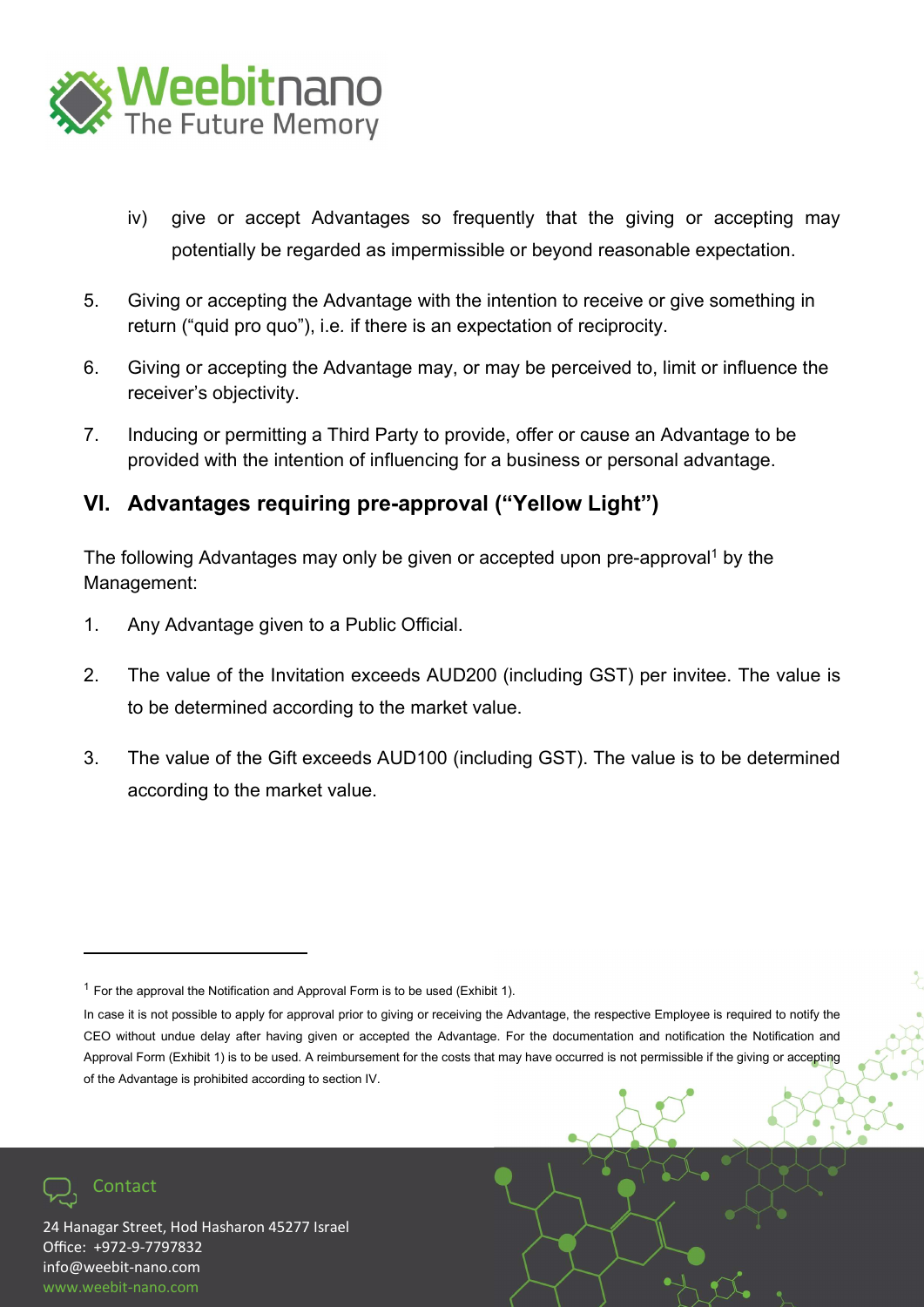

- iv) give or accept Advantages so frequently that the giving or accepting may potentially be regarded as impermissible or beyond reasonable expectation.
- 5. Giving or accepting the Advantage with the intention to receive or give something in return ("quid pro quo"), i.e. if there is an expectation of reciprocity.
- 6. Giving or accepting the Advantage may, or may be perceived to, limit or influence the receiver's objectivity.
- 7. Inducing or permitting a Third Party to provide, offer or cause an Advantage to be provided with the intention of influencing for a business or personal advantage.

#### VI. Advantages requiring pre-approval ("Yellow Light")

The following Advantages may only be given or accepted upon pre-approval<sup>1</sup> by the Management:

- 1. Any Advantage given to a Public Official.
- 2. The value of the Invitation exceeds AUD200 (including GST) per invitee. The value is to be determined according to the market value.
- 3. The value of the Gift exceeds AUD100 (including GST). The value is to be determined according to the market value.



 $1$  For the approval the Notification and Approval Form is to be used (Exhibit 1).

In case it is not possible to apply for approval prior to giving or receiving the Advantage, the respective Employee is required to notify the CEO without undue delay after having given or accepted the Advantage. For the documentation and notification the Notification and Approval Form (Exhibit 1) is to be used. A reimbursement for the costs that may have occurred is not permissible if the giving or accepting of the Advantage is prohibited according to section IV.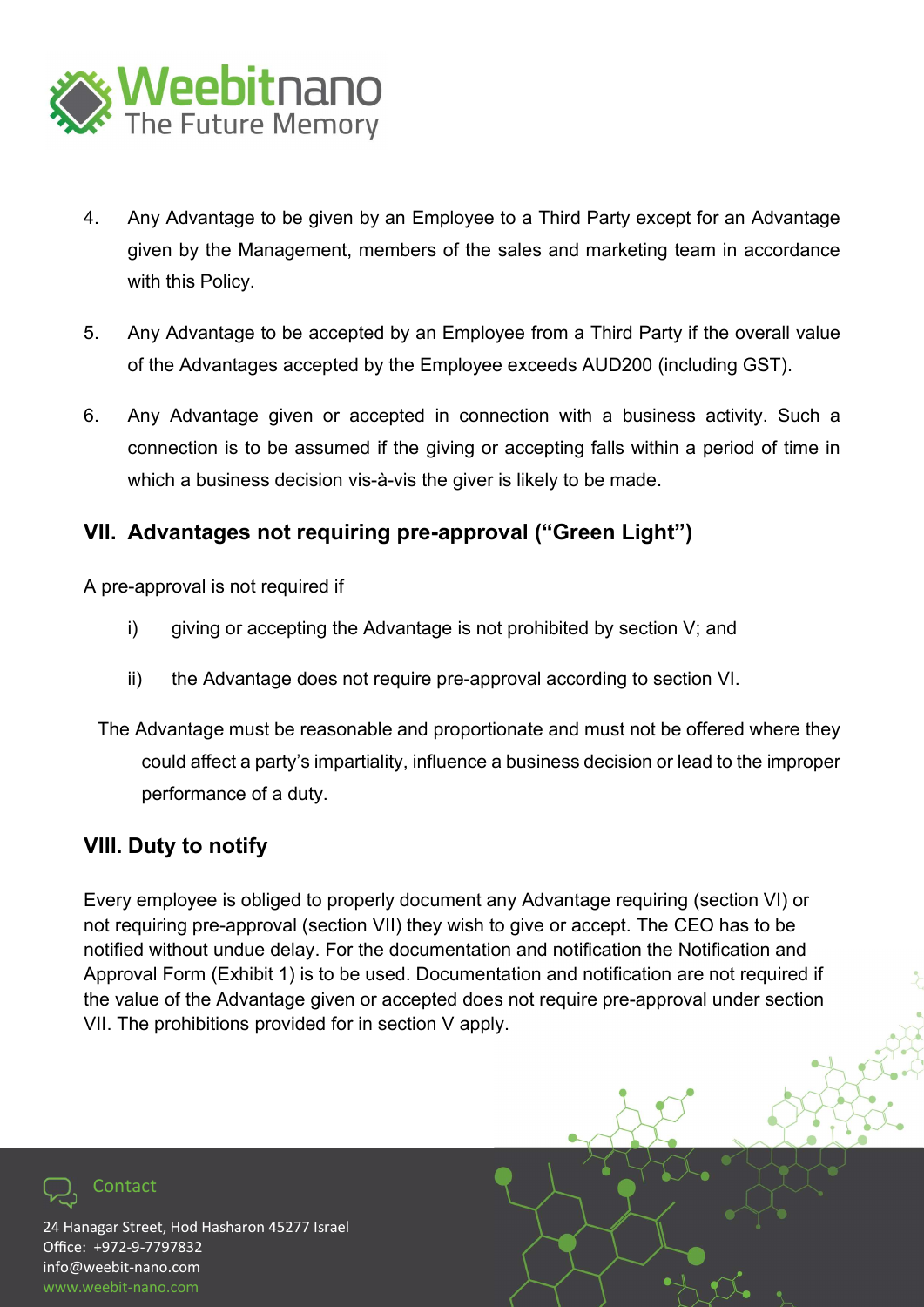

- 4. Any Advantage to be given by an Employee to a Third Party except for an Advantage given by the Management, members of the sales and marketing team in accordance with this Policy.
- 5. Any Advantage to be accepted by an Employee from a Third Party if the overall value of the Advantages accepted by the Employee exceeds AUD200 (including GST).
- 6. Any Advantage given or accepted in connection with a business activity. Such a connection is to be assumed if the giving or accepting falls within a period of time in which a business decision vis-à-vis the giver is likely to be made.

#### VII. Advantages not requiring pre-approval ("Green Light")

A pre-approval is not required if

- i) giving or accepting the Advantage is not prohibited by section V; and
- ii) the Advantage does not require pre-approval according to section VI.
- The Advantage must be reasonable and proportionate and must not be offered where they could affect a party's impartiality, influence a business decision or lead to the improper performance of a duty.

#### VIII. Duty to notify

Every employee is obliged to properly document any Advantage requiring (section VI) or not requiring pre-approval (section VII) they wish to give or accept. The CEO has to be notified without undue delay. For the documentation and notification the Notification and Approval Form (Exhibit 1) is to be used. Documentation and notification are not required if the value of the Advantage given or accepted does not require pre-approval under section VII. The prohibitions provided for in section V apply.

24 Hanagar Street, Hod Hasharon 45277 Israel Office: +972-9-7797832 info@weebit-nano.com www.weebit-nano.com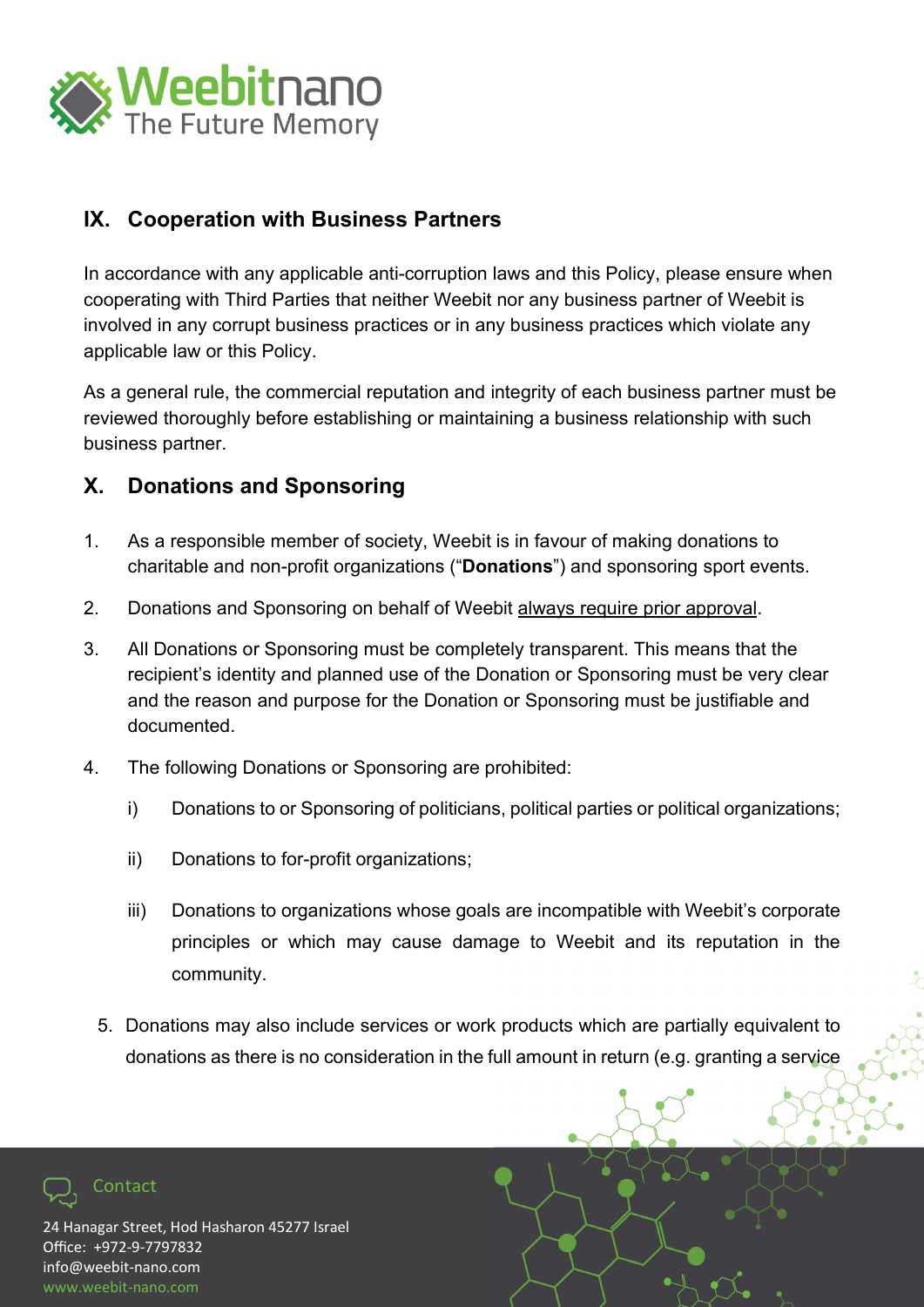

#### IX. Cooperation with Business Partners

In accordance with any applicable anti-corruption laws and this Policy, please ensure when cooperating with Third Parties that neither Weebit nor any business partner of Weebit is involved in any corrupt business practices or in any business practices which violate any applicable law or this Policy.

As a general rule, the commercial reputation and integrity of each business partner must be reviewed thoroughly before establishing or maintaining a business relationship with such business partner.

#### X. Donations and Sponsoring

- 1. As a responsible member of society, Weebit is in favour of making donations to charitable and non-profit organizations ("Donations") and sponsoring sport events.
- 2. Donations and Sponsoring on behalf of Weebit always require prior approval.
- 3. All Donations or Sponsoring must be completely transparent. This means that the recipient's identity and planned use of the Donation or Sponsoring must be very clear and the reason and purpose for the Donation or Sponsoring must be justifiable and documented.
- 4. The following Donations or Sponsoring are prohibited:
	- i) Donations to or Sponsoring of politicians, political parties or political organizations;
	- ii) Donations to for-profit organizations;
	- iii) Donations to organizations whose goals are incompatible with Weebit's corporate principles or which may cause damage to Weebit and its reputation in the community.
	- 5. Donations may also include services or work products which are partially equivalent to donations as there is no consideration in the full amount in return (e.g. granting a service

24 Hanagar Street, Hod Hasharon 45277 Israel Office: +972-9-7797832 info@weebit-nano.com www.weebit-nano.com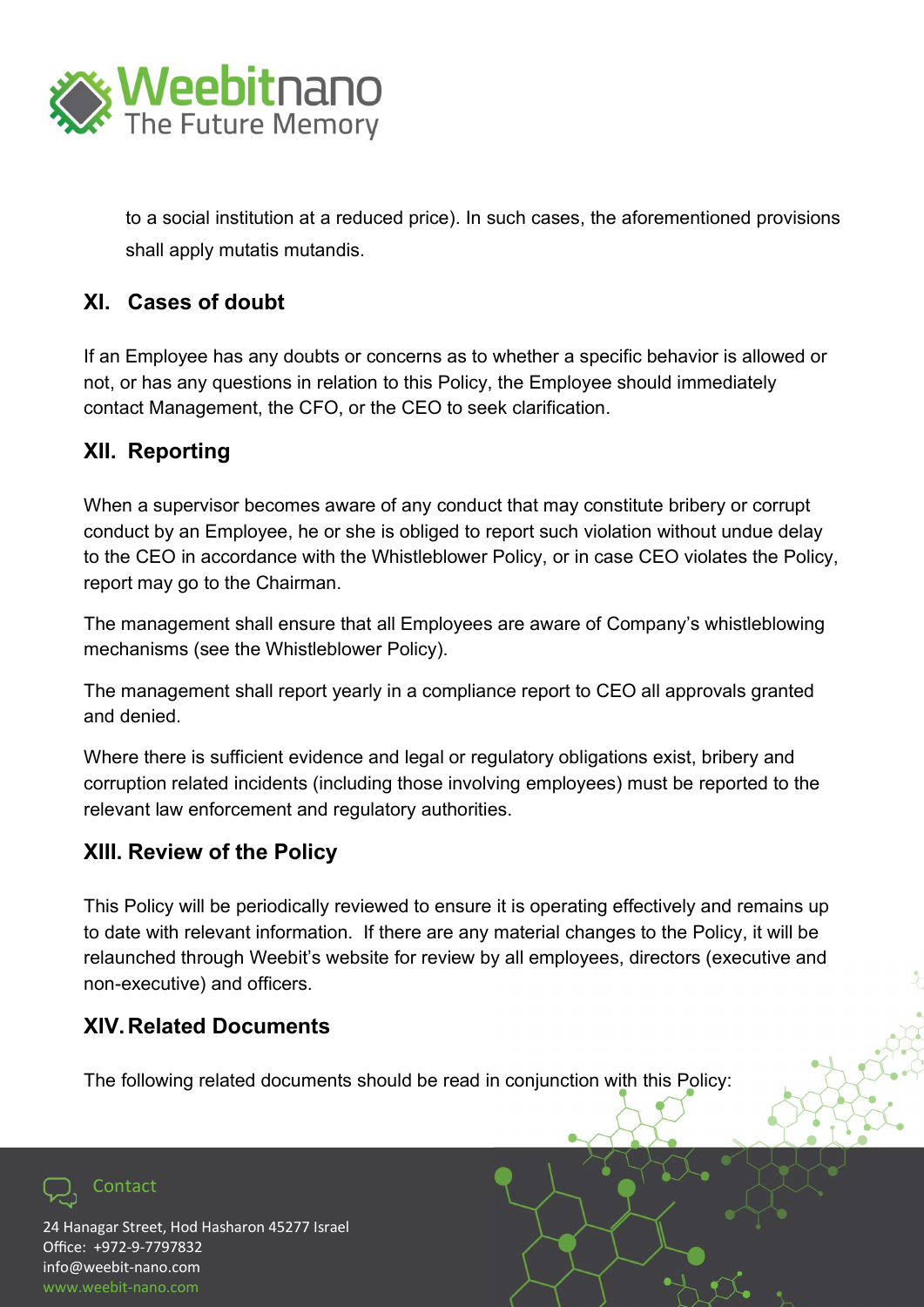

to a social institution at a reduced price). In such cases, the aforementioned provisions shall apply mutatis mutandis.

#### XI. Cases of doubt

If an Employee has any doubts or concerns as to whether a specific behavior is allowed or not, or has any questions in relation to this Policy, the Employee should immediately contact Management, the CFO, or the CEO to seek clarification.

#### XII. Reporting

When a supervisor becomes aware of any conduct that may constitute bribery or corrupt conduct by an Employee, he or she is obliged to report such violation without undue delay to the CEO in accordance with the Whistleblower Policy, or in case CEO violates the Policy, report may go to the Chairman.

The management shall ensure that all Employees are aware of Company's whistleblowing mechanisms (see the Whistleblower Policy).

The management shall report yearly in a compliance report to CEO all approvals granted and denied.

Where there is sufficient evidence and legal or regulatory obligations exist, bribery and corruption related incidents (including those involving employees) must be reported to the relevant law enforcement and regulatory authorities.

#### XIII. Review of the Policy

This Policy will be periodically reviewed to ensure it is operating effectively and remains up to date with relevant information. If there are any material changes to the Policy, it will be relaunched through Weebit's website for review by all employees, directors (executive and non-executive) and officers.

#### XIV. Related Documents

The following related documents should be read in conjunction with this Policy:

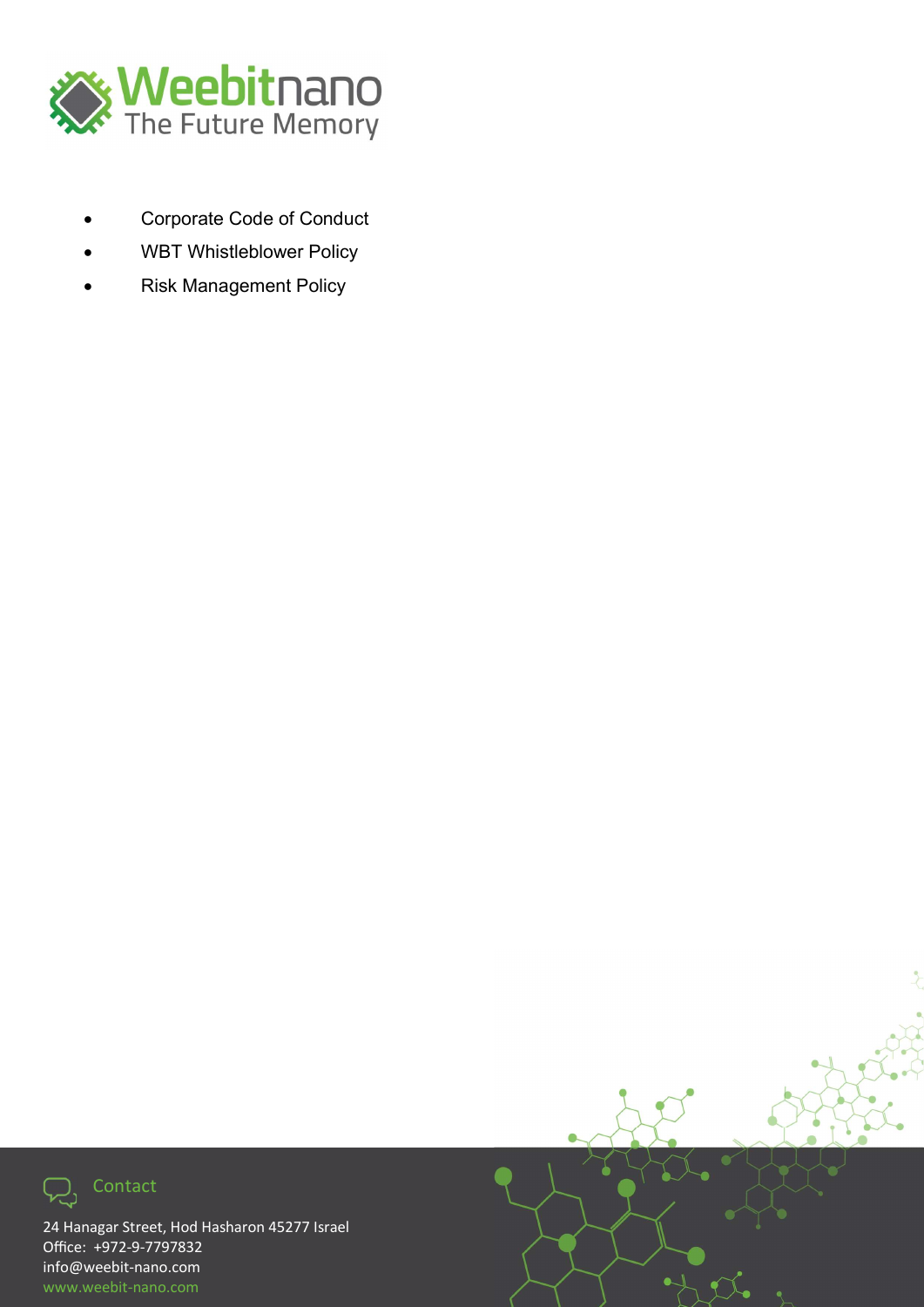

- Corporate Code of Conduct
- WBT Whistleblower Policy
- Risk Management Policy



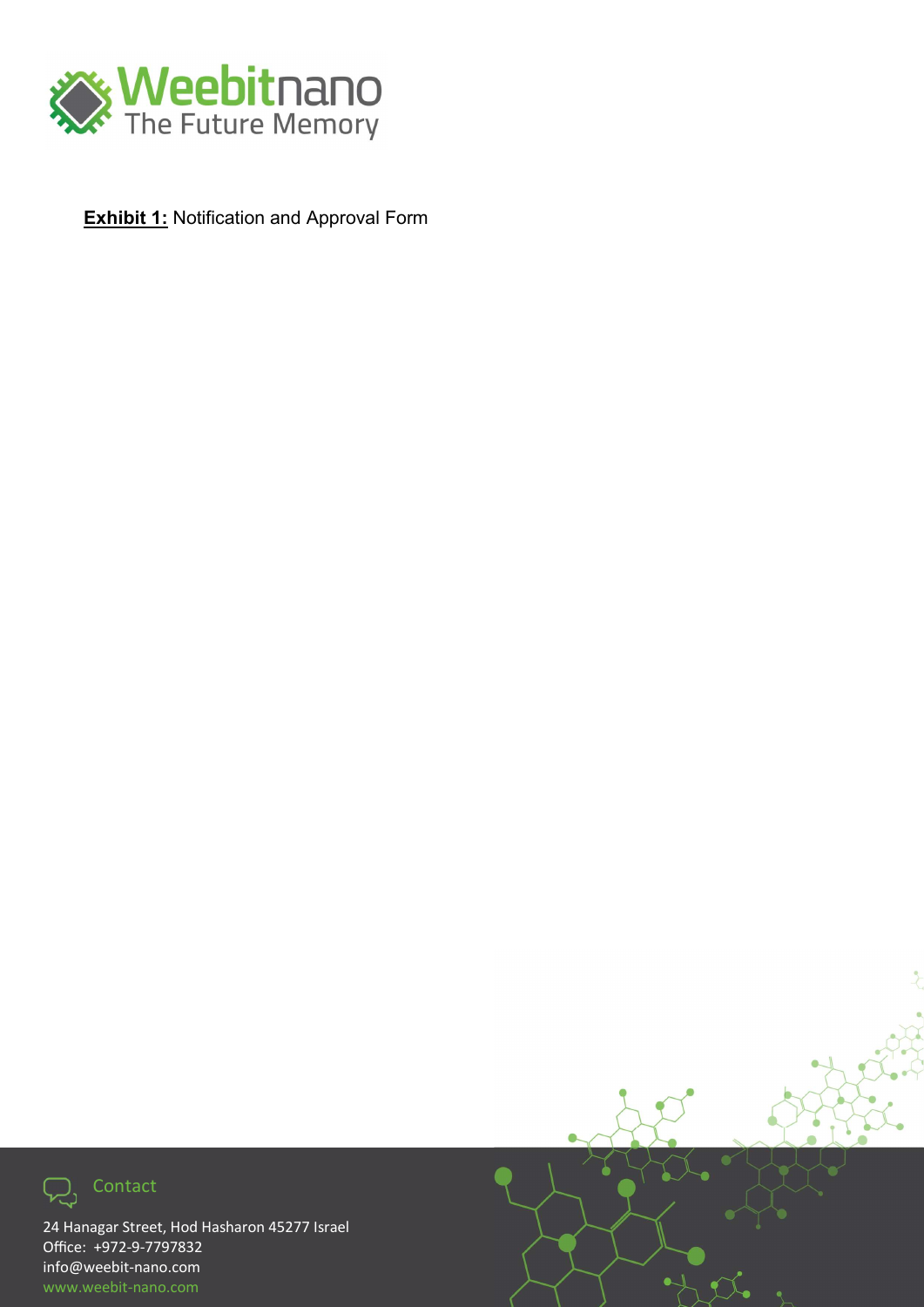

**Exhibit 1:** Notification and Approval Form



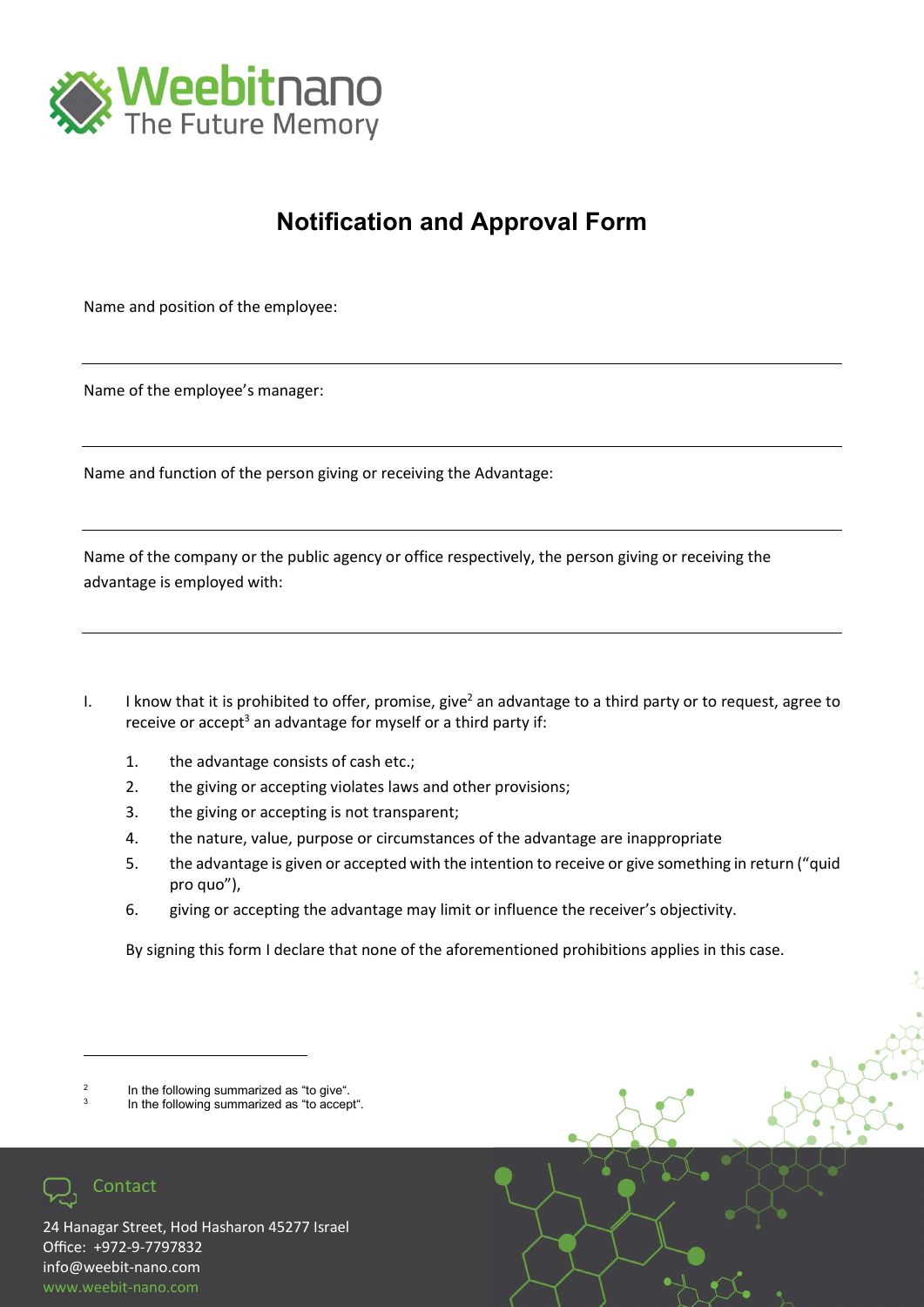

### Notification and Approval Form

Name and position of the employee:

Name of the employee's manager:

Name and function of the person giving or receiving the Advantage:

Name of the company or the public agency or office respectively, the person giving or receiving the advantage is employed with:

- I. I know that it is prohibited to offer, promise, give<sup>2</sup> an advantage to a third party or to request, agree to receive or accept<sup>3</sup> an advantage for myself or a third party if:
	- 1. the advantage consists of cash etc.;
	- 2. the giving or accepting violates laws and other provisions;
	- 3. the giving or accepting is not transparent;
	- 4. the nature, value, purpose or circumstances of the advantage are inappropriate
	- 5. the advantage is given or accepted with the intention to receive or give something in return ("quid pro quo"),
	- 6. giving or accepting the advantage may limit or influence the receiver's objectivity.

By signing this form I declare that none of the aforementioned prohibitions applies in this case.

3 In the following summarized as "to accept".



<sup>2</sup> In the following summarized as "to give".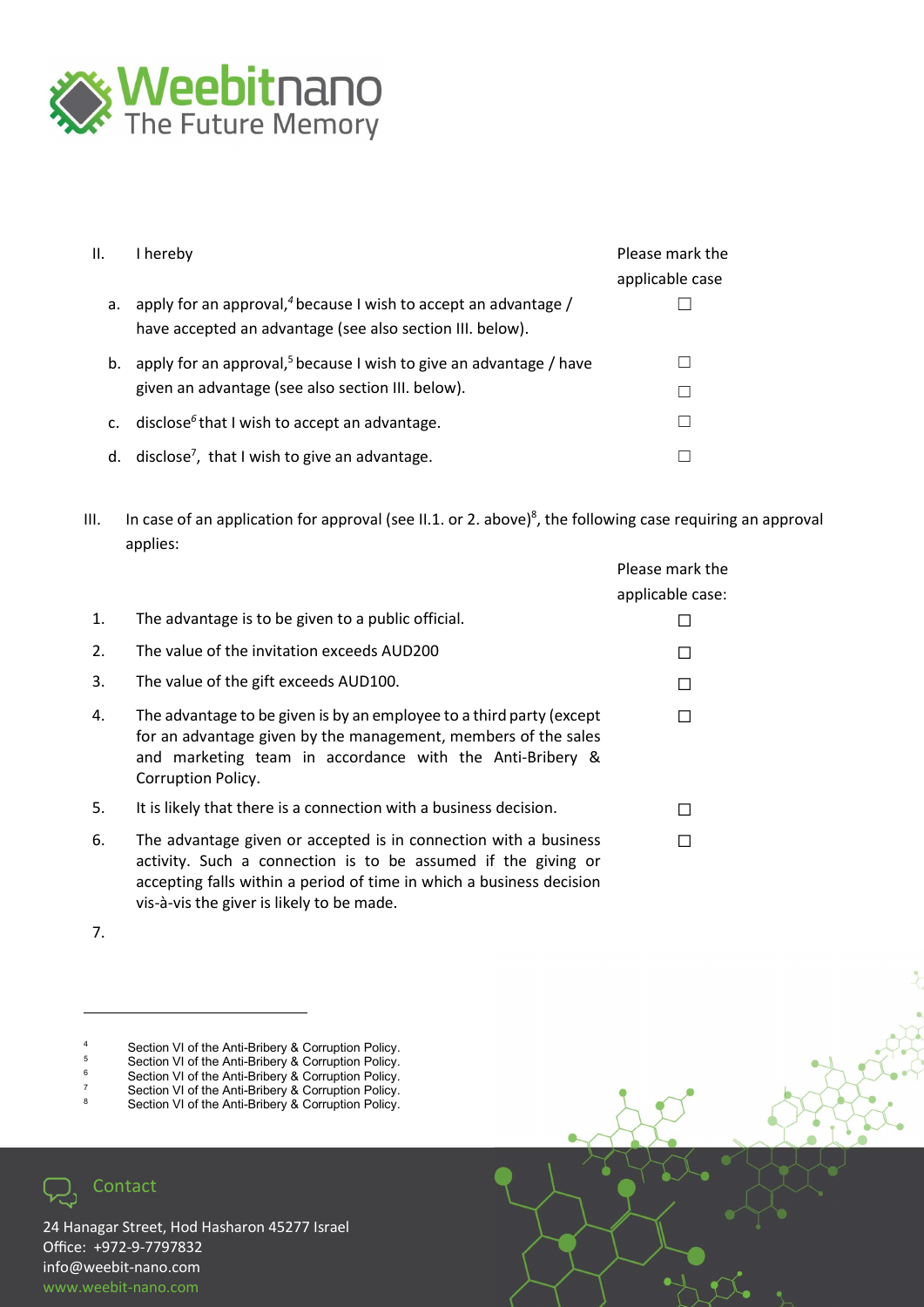

| Ш.             | I hereby                                                                                                                                 | Please mark the<br>applicable case |
|----------------|------------------------------------------------------------------------------------------------------------------------------------------|------------------------------------|
| a.             | apply for an approval, <sup>4</sup> because I wish to accept an advantage /<br>have accepted an advantage (see also section III. below). |                                    |
| b.             | apply for an approval, <sup>5</sup> because I wish to give an advantage / have<br>given an advantage (see also section III. below).      |                                    |
| $\mathsf{C}$ . | disclose <sup><math>6</math></sup> that I wish to accept an advantage.                                                                   |                                    |
| d.             | disclose <sup>7</sup> , that I wish to give an advantage.                                                                                |                                    |

III. In case of an application for approval (see II.1. or 2. above)<sup>8</sup>, the following case requiring an approval applies:

|    |                                                                                                                                                                                                                          | Please mark the<br>applicable case: |
|----|--------------------------------------------------------------------------------------------------------------------------------------------------------------------------------------------------------------------------|-------------------------------------|
| 1. | The advantage is to be given to a public official.                                                                                                                                                                       |                                     |
| 2. | The value of the invitation exceeds AUD200                                                                                                                                                                               | П                                   |
| 3. | The value of the gift exceeds AUD100.                                                                                                                                                                                    | П                                   |
| 4. | The advantage to be given is by an employee to a third party (except<br>for an advantage given by the management, members of the sales<br>and marketing team in accordance with the Anti-Bribery &<br>Corruption Policy. | П                                   |
| 5. | It is likely that there is a connection with a business decision.                                                                                                                                                        | П                                   |
| 6. | The advantage given or accepted is in connection with a business<br>activity. Such a connection is to be assumed if the giving or<br>accepting falls within a period of time in which a business decision                |                                     |

7.

4 Section VI of the Anti-Bribery & Corruption Policy.

vis-à-vis the giver is likely to be made.

- 5 Section VI of the Anti-Bribery & Corruption Policy. 6
- Section VI of the Anti-Bribery & Corruption Policy. 7
- Section VI of the Anti-Bribery & Corruption Policy. 8
- Section VI of the Anti-Bribery & Corruption Policy.

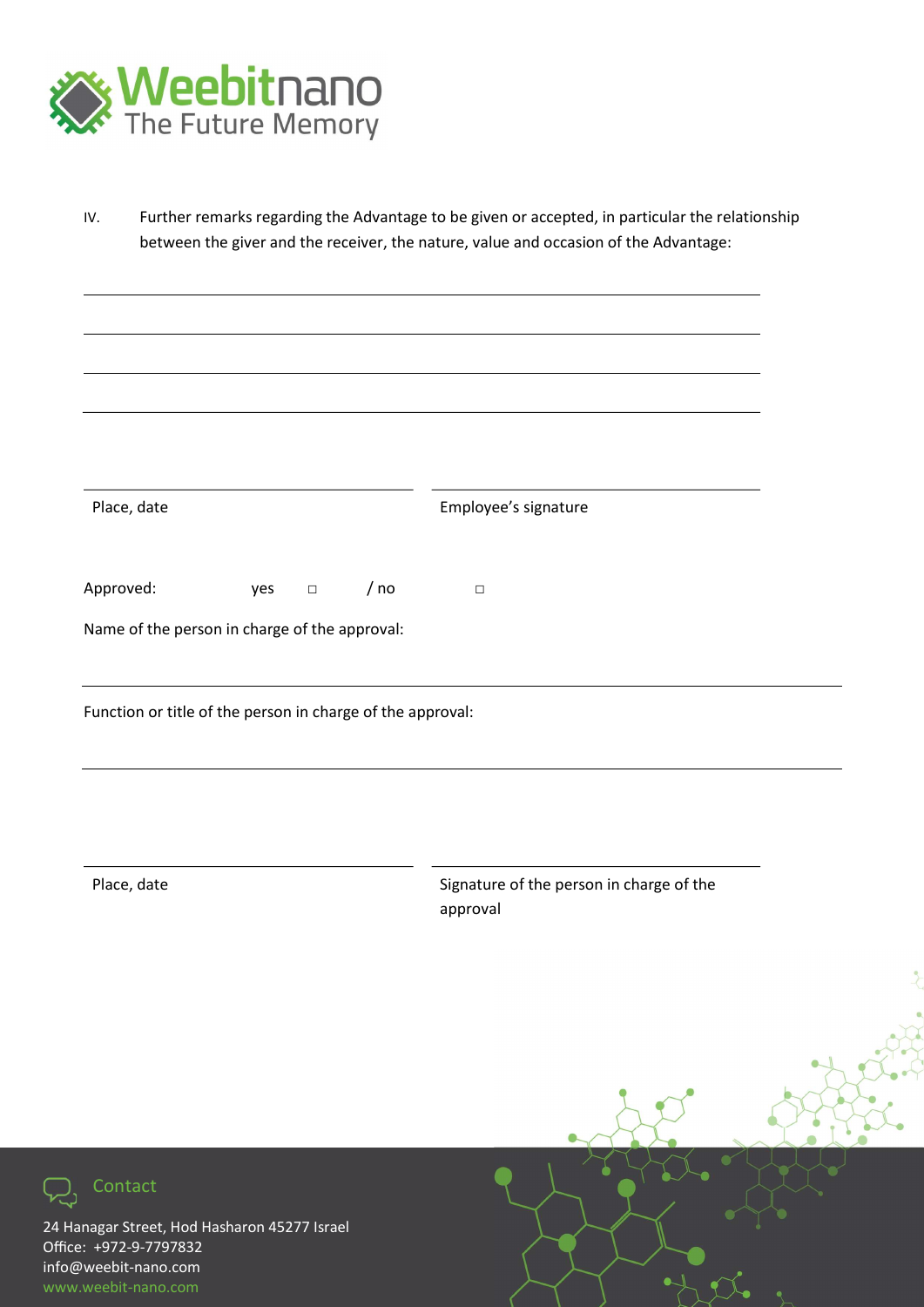

IV. Further remarks regarding the Advantage to be given or accepted, in particular the relationship between the giver and the receiver, the nature, value and occasion of the Advantage:

| Place, date                                                |     |        |      | Employee's signature                     |
|------------------------------------------------------------|-----|--------|------|------------------------------------------|
| Approved:                                                  | yes | $\Box$ | / no | $\hfill\square$                          |
| Name of the person in charge of the approval:              |     |        |      |                                          |
| Function or title of the person in charge of the approval: |     |        |      |                                          |
|                                                            |     |        |      |                                          |
| Place, date                                                |     |        |      | Signature of the person in charge of the |
|                                                            |     |        |      | approval                                 |
|                                                            |     |        |      |                                          |
|                                                            |     |        |      |                                          |